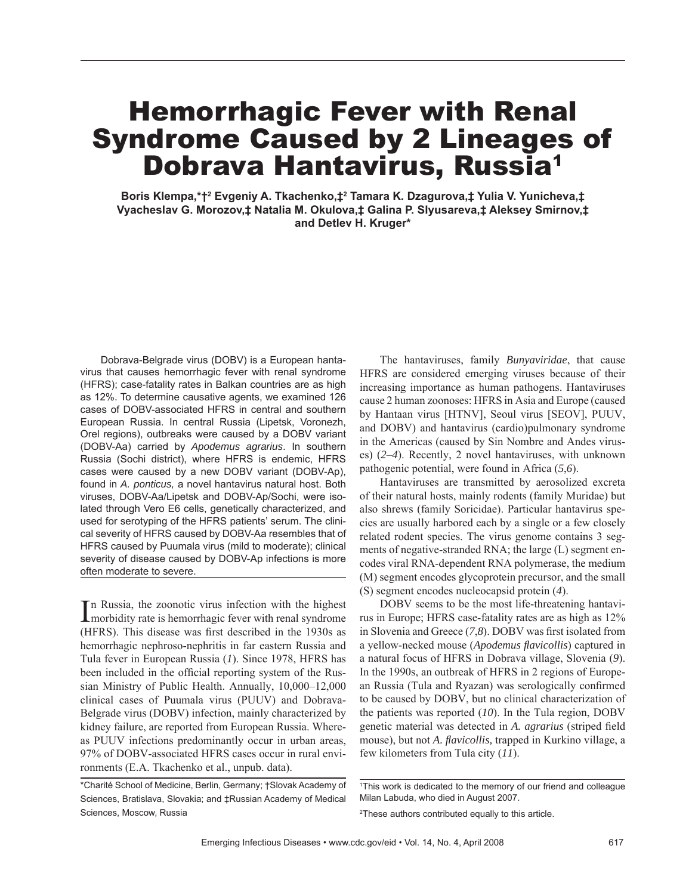# Hemorrhagic Fever with Renal Syndrome Caused by 2 Lineages of Dobrava Hantavirus, Russia<sup>1</sup>

**Boris Klempa,\*†2 Evgeniy A. Tkachenko,‡2 Tamara K. Dzagurova,‡ Yulia V. Yunicheva,‡ Vyacheslav G. Morozov,‡ Natalia M. Okulova,‡ Galina P. Slyusareva,‡ Aleksey Smirnov,‡ and Detlev H. Kruger\***

Dobrava-Belgrade virus (DOBV) is a European hantavirus that causes hemorrhagic fever with renal syndrome (HFRS); case-fatality rates in Balkan countries are as high as 12%. To determine causative agents, we examined 126 cases of DOBV-associated HFRS in central and southern European Russia. In central Russia (Lipetsk, Voronezh, Orel regions), outbreaks were caused by a DOBV variant (DOBV-Aa) carried by *Apodemus agrarius*. In southern Russia (Sochi district), where HFRS is endemic, HFRS cases were caused by a new DOBV variant (DOBV-Ap), found in *A. ponticus,* a novel hantavirus natural host. Both viruses, DOBV-Aa/Lipetsk and DOBV-Ap/Sochi, were isolated through Vero E6 cells, genetically characterized, and used for serotyping of the HFRS patients' serum. The clinical severity of HFRS caused by DOBV-Aa resembles that of HFRS caused by Puumala virus (mild to moderate); clinical severity of disease caused by DOBV-Ap infections is more often moderate to severe.

In Russia, the zoonotic virus infection with the highest morbidity rate is hemorrhagic fever with renal syndrome morbidity rate is hemorrhagic fever with renal syndrome (HFRS). This disease was first described in the 1930s as hemorrhagic nephroso-nephritis in far eastern Russia and Tula fever in European Russia (*1*). Since 1978, HFRS has been included in the official reporting system of the Russian Ministry of Public Health. Annually, 10,000–12,000 clinical cases of Puumala virus (PUUV) and Dobrava-Belgrade virus (DOBV) infection, mainly characterized by kidney failure, are reported from European Russia. Whereas PUUV infections predominantly occur in urban areas, 97% of DOBV-associated HFRS cases occur in rural environments (E.A. Tkachenko et al., unpub. data).

The hantaviruses, family *Bunyaviridae*, that cause HFRS are considered emerging viruses because of their increasing importance as human pathogens. Hantaviruses cause 2 human zoonoses: HFRS in Asia and Europe (caused by Hantaan virus [HTNV], Seoul virus [SEOV], PUUV, and DOBV) and hantavirus (cardio)pulmonary syndrome in the Americas (caused by Sin Nombre and Andes viruses) (*2*–*4*). Recently, 2 novel hantaviruses, with unknown pathogenic potential, were found in Africa (*5*,*6*).

Hantaviruses are transmitted by aerosolized excreta of their natural hosts, mainly rodents (family Muridae) but also shrews (family Soricidae). Particular hantavirus species are usually harbored each by a single or a few closely related rodent species. The virus genome contains 3 segments of negative-stranded RNA; the large (L) segment encodes viral RNA-dependent RNA polymerase, the medium (M) segment encodes glycoprotein precursor, and the small (S) segment encodes nucleocapsid protein (*4*).

DOBV seems to be the most life-threatening hantavirus in Europe; HFRS case-fatality rates are as high as 12% in Slovenia and Greece (7,8). DOBV was first isolated from a yellow-necked mouse (*Apodemus flavicollis*) captured in a natural focus of HFRS in Dobrava village, Slovenia (*9*). In the 1990s, an outbreak of HFRS in 2 regions of European Russia (Tula and Ryazan) was serologically confirmed to be caused by DOBV, but no clinical characterization of the patients was reported (*10*). In the Tula region, DOBV genetic material was detected in *A. agrarius* (striped field mouse), but not *A. flavicollis*, trapped in Kurkino village, a few kilometers from Tula city (*11*).

<sup>\*</sup>Charité School of Medicine, Berlin, Germany; †Slovak Academy of Sciences, Bratislava, Slovakia; and ‡Russian Academy of Medical Sciences, Moscow, Russia

<sup>1</sup> This work is dedicated to the memory of our friend and colleague Milan Labuda, who died in August 2007.

<sup>2</sup> These authors contributed equally to this article.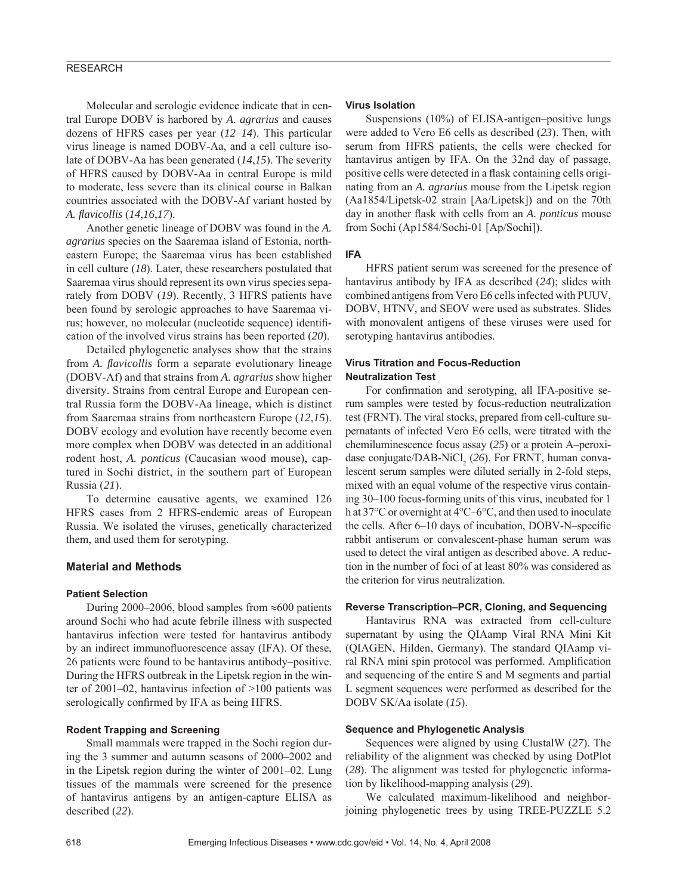Molecular and serologic evidence indicate that in central Europe DOBV is harbored by *A. agrarius* and causes dozens of HFRS cases per year (*12*–*14*). This particular virus lineage is named DOBV-Aa, and a cell culture isolate of DOBV-Aa has been generated (*14*,*15*). The severity of HFRS caused by DOBV-Aa in central Europe is mild to moderate, less severe than its clinical course in Balkan countries associated with the DOBV-Af variant hosted by *A. fl avicollis* (*14*,*16*,*17*).

Another genetic lineage of DOBV was found in the *A. agrarius* species on the Saaremaa island of Estonia, northeastern Europe; the Saaremaa virus has been established in cell culture (*18*). Later, these researchers postulated that Saaremaa virus should represent its own virus species separately from DOBV (*19*). Recently, 3 HFRS patients have been found by serologic approaches to have Saaremaa virus; however, no molecular (nucleotide sequence) identification of the involved virus strains has been reported (*20*).

Detailed phylogenetic analyses show that the strains from *A. flavicollis* form a separate evolutionary lineage (DOBV-Af) and that strains from *A. agrarius* show higher diversity. Strains from central Europe and European central Russia form the DOBV-Aa lineage, which is distinct from Saaremaa strains from northeastern Europe (*12*,*15*). DOBV ecology and evolution have recently become even more complex when DOBV was detected in an additional rodent host, *A. ponticus* (Caucasian wood mouse), captured in Sochi district, in the southern part of European Russia (*21*).

To determine causative agents, we examined 126 HFRS cases from 2 HFRS-endemic areas of European Russia. We isolated the viruses, genetically characterized them, and used them for serotyping.

#### **Material and Methods**

#### **Patient Selection**

During 2000–2006, blood samples from ≈600 patients around Sochi who had acute febrile illness with suspected hantavirus infection were tested for hantavirus antibody by an indirect immunofluorescence assay (IFA). Of these, 26 patients were found to be hantavirus antibody–positive. During the HFRS outbreak in the Lipetsk region in the winter of 2001–02, hantavirus infection of >100 patients was serologically confirmed by IFA as being HFRS.

#### **Rodent Trapping and Screening**

Small mammals were trapped in the Sochi region during the 3 summer and autumn seasons of 2000–2002 and in the Lipetsk region during the winter of 2001–02. Lung tissues of the mammals were screened for the presence of hantavirus antigens by an antigen-capture ELISA as described (*22*).

#### **Virus Isolation**

Suspensions (10%) of ELISA-antigen–positive lungs were added to Vero E6 cells as described (*23*). Then, with serum from HFRS patients, the cells were checked for hantavirus antigen by IFA. On the 32nd day of passage, positive cells were detected in a flask containing cells originating from an *A. agrarius* mouse from the Lipetsk region (Aa1854/Lipetsk-02 strain [Aa/Lipetsk]) and on the 70th day in another flask with cells from an *A. ponticus* mouse from Sochi (Ap1584/Sochi-01 [Ap/Sochi]).

#### **IFA**

HFRS patient serum was screened for the presence of hantavirus antibody by IFA as described (*24*); slides with combined antigens from Vero E6 cells infected with PUUV, DOBV, HTNV, and SEOV were used as substrates. Slides with monovalent antigens of these viruses were used for serotyping hantavirus antibodies.

## **Virus Titration and Focus-Reduction Neutralization Test**

For confirmation and serotyping, all IFA-positive serum samples were tested by focus-reduction neutralization test (FRNT). The viral stocks, prepared from cell-culture supernatants of infected Vero E6 cells, were titrated with the chemiluminescence focus assay (*25*) or a protein A–peroxidase conjugate/DAB-NiCl<sub>2</sub> (26). For FRNT, human convalescent serum samples were diluted serially in 2-fold steps, mixed with an equal volume of the respective virus containing 30–100 focus-forming units of this virus, incubated for 1 h at 37°C or overnight at 4°C–6°C, and then used to inoculate the cells. After 6–10 days of incubation, DOBV-N–specific rabbit antiserum or convalescent-phase human serum was used to detect the viral antigen as described above. A reduction in the number of foci of at least 80% was considered as the criterion for virus neutralization.

#### **Reverse Transcription–PCR, Cloning, and Sequencing**

Hantavirus RNA was extracted from cell-culture supernatant by using the QIAamp Viral RNA Mini Kit (QIAGEN, Hilden, Germany). The standard QIAamp viral RNA mini spin protocol was performed. Amplification and sequencing of the entire S and M segments and partial L segment sequences were performed as described for the DOBV SK/Aa isolate (*15*).

#### **Sequence and Phylogenetic Analysis**

Sequences were aligned by using ClustalW (*27*). The reliability of the alignment was checked by using DotPlot (*28*). The alignment was tested for phylogenetic information by likelihood-mapping analysis (*29*).

We calculated maximum-likelihood and neighborjoining phylogenetic trees by using TREE-PUZZLE 5.2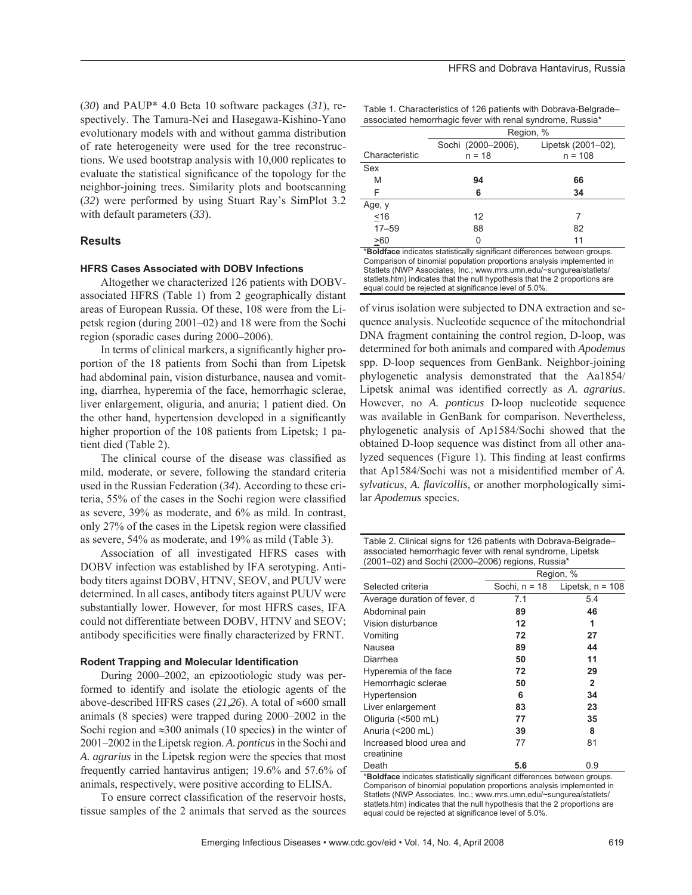(*30*) and PAUP\* 4.0 Beta 10 software packages (*31*), respectively. The Tamura-Nei and Hasegawa-Kishino-Yano evolutionary models with and without gamma distribution of rate heterogeneity were used for the tree reconstructions. We used bootstrap analysis with 10,000 replicates to evaluate the statistical significance of the topology for the neighbor-joining trees. Similarity plots and bootscanning (*32*) were performed by using Stuart Ray's SimPlot 3.2 with default parameters (*33*).

#### **Results**

#### **HFRS Cases Associated with DOBV Infections**

Altogether we characterized 126 patients with DOBVassociated HFRS (Table 1) from 2 geographically distant areas of European Russia. Of these, 108 were from the Lipetsk region (during 2001–02) and 18 were from the Sochi region (sporadic cases during 2000–2006).

In terms of clinical markers, a significantly higher proportion of the 18 patients from Sochi than from Lipetsk had abdominal pain, vision disturbance, nausea and vomiting, diarrhea, hyperemia of the face, hemorrhagic sclerae, liver enlargement, oliguria, and anuria; 1 patient died. On the other hand, hypertension developed in a significantly higher proportion of the 108 patients from Lipetsk; 1 patient died (Table 2).

The clinical course of the disease was classified as mild, moderate, or severe, following the standard criteria used in the Russian Federation (*34*). According to these criteria, 55% of the cases in the Sochi region were classified as severe, 39% as moderate, and 6% as mild. In contrast, only 27% of the cases in the Lipetsk region were classified as severe, 54% as moderate, and 19% as mild (Table 3).

Association of all investigated HFRS cases with DOBV infection was established by IFA serotyping. Antibody titers against DOBV, HTNV, SEOV, and PUUV were determined. In all cases, antibody titers against PUUV were substantially lower. However, for most HFRS cases, IFA could not differentiate between DOBV, HTNV and SEOV; antibody specificities were finally characterized by FRNT.

#### **Rodent Trapping and Molecular Identification**

During 2000–2002, an epizootiologic study was performed to identify and isolate the etiologic agents of the above-described HFRS cases (*21*,*26*). A total of ≈600 small animals (8 species) were trapped during 2000–2002 in the Sochi region and  $\approx 300$  animals (10 species) in the winter of 2001–2002 in the Lipetsk region. *A. ponticus* in the Sochi and *A. agrarius* in the Lipetsk region were the species that most frequently carried hantavirus antigen; 19.6% and 57.6% of animals, respectively, were positive according to ELISA.

To ensure correct classification of the reservoir hosts, tissue samples of the 2 animals that served as the sources Table 1. Characteristics of 126 patients with Dobrava-Belgrade– associated hemorrhagic fever with renal syndrome, Russia\*

|                | Region, %                                                                |                    |  |  |  |
|----------------|--------------------------------------------------------------------------|--------------------|--|--|--|
|                | Sochi (2000-2006),                                                       | Lipetsk (2001-02), |  |  |  |
| Characteristic | $n = 18$                                                                 | $n = 108$          |  |  |  |
| Sex            |                                                                          |                    |  |  |  |
| M              | 94                                                                       | 66                 |  |  |  |
| F              | 6                                                                        | 34                 |  |  |  |
| Age, y         |                                                                          |                    |  |  |  |
| ~16            | 12                                                                       |                    |  |  |  |
| $17 - 59$      | 88                                                                       | 82                 |  |  |  |
| >60            | 0                                                                        | 11                 |  |  |  |
|                | *Deldfeee indicatoo otatiotically cianificant differences botycon aroung |                    |  |  |  |

ates statistically significant differences between group Comparison of binomial population proportions analysis implemented in Statlets (NWP Associates, Inc.; www.mrs.umn.edu/~sungurea/statlets/ statlets.htm) indicates that the null hypothesis that the 2 proportions are equal could be rejected at significance level of 5.0%.

of virus isolation were subjected to DNA extraction and sequence analysis. Nucleotide sequence of the mitochondrial DNA fragment containing the control region, D-loop, was determined for both animals and compared with *Apodemus* spp. D-loop sequences from GenBank. Neighbor-joining phylogenetic analysis demonstrated that the Aa1854/ Lipetsk animal was identified correctly as *A. agrarius*. However, no *A. ponticus* D-loop nucleotide sequence was available in GenBank for comparison. Nevertheless, phylogenetic analysis of Ap1584/Sochi showed that the obtained D-loop sequence was distinct from all other analyzed sequences (Figure 1). This finding at least confirms that Ap1584/Sochi was not a misidentified member of A. *sylvaticus*, *A. flavicollis*, or another morphologically similar *Apodemus* species.

Table 2. Clinical signs for 126 patients with Dobrava-Belgrade– associated hemorrhagic fever with renal syndrome, Lipetsk (2001–02) and Sochi (2000–2006) regions, Russia\*

|                                        |                 | Region, %          |
|----------------------------------------|-----------------|--------------------|
| Selected criteria                      | Sochi, $n = 18$ | Lipetsk, $n = 108$ |
| Average duration of fever, d           | 7.1             | 5.4                |
| Abdominal pain                         | 89              | 46                 |
| Vision disturbance                     | 12              | 1                  |
| Vomiting                               | 72              | 27                 |
| Nausea                                 | 89              | 44                 |
| Diarrhea                               | 50              | 11                 |
| Hyperemia of the face                  | 72              | 29                 |
| Hemorrhagic sclerae                    | 50              | $\overline{2}$     |
| Hypertension                           | 6               | 34                 |
| Liver enlargement                      | 83              | 23                 |
| Oliguria (<500 mL)                     | 77              | 35                 |
| Anuria (<200 mL)                       | 39              | 8                  |
| Increased blood urea and<br>creatinine | 77              | 81                 |
| Death                                  | 5.6             | 0.9                |

\***Boldface** indicates statistically significant differences between groups. Comparison of binomial population proportions analysis implemented in Statlets (NWP Associates, Inc.; www.mrs.umn.edu/~sungurea/statlets/ statlets.htm) indicates that the null hypothesis that the 2 proportions are equal could be rejected at significance level of 5.0%.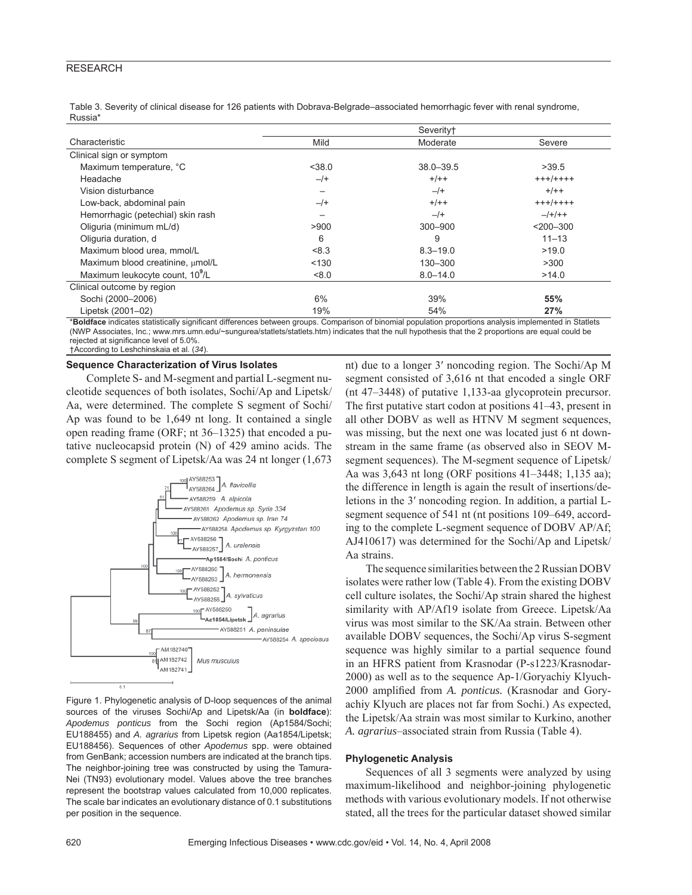| Table 3. Severity of clinical disease for 126 patients with Dobrava-Belgrade-associated hemorrhagic fever with renal syndrome, |  |  |
|--------------------------------------------------------------------------------------------------------------------------------|--|--|
| Russia*                                                                                                                        |  |  |

|                                                                                                                                                          |          | Severity <sup>+</sup> |                 |
|----------------------------------------------------------------------------------------------------------------------------------------------------------|----------|-----------------------|-----------------|
| Characteristic                                                                                                                                           | Mild     | Moderate              | Severe          |
| Clinical sign or symptom                                                                                                                                 |          |                       |                 |
| Maximum temperature, °C                                                                                                                                  | $<$ 38.0 | $38.0 - 39.5$         | >39.5           |
| Headache                                                                                                                                                 | $-$ /+   | $+/++$                | $+++/++++$      |
| Vision disturbance                                                                                                                                       |          | $-$ /+                | $+/++$          |
| Low-back, abdominal pain                                                                                                                                 | $-$ /+   | $+/++$                | $+++/+++$       |
| Hemorrhagic (petechial) skin rash                                                                                                                        |          | $-$ /+                | $-/+/++$        |
| Oliguria (minimum mL/d)                                                                                                                                  | >900     | 300-900               | $<$ 200 $-$ 300 |
| Oliguria duration, d                                                                                                                                     | 6        | 9                     | $11 - 13$       |
| Maximum blood urea, mmol/L                                                                                                                               | < 8.3    | $8.3 - 19.0$          | >19.0           |
| Maximum blood creatinine, umol/L                                                                                                                         | < 130    | 130-300               | >300            |
| Maximum leukocyte count, 10 <sup>9</sup> /L                                                                                                              | 8.0      | $8.0 - 14.0$          | >14.0           |
| Clinical outcome by region                                                                                                                               |          |                       |                 |
| Sochi (2000-2006)                                                                                                                                        | 6%       | 39%                   | 55%             |
| Lipetsk (2001-02)                                                                                                                                        | 19%      | 54%                   | 27%             |
| *Deldfess indicator statistically cianificant differences between areyse. Comparison of binamial population proportions analysis implemented in Otatleta |          |                       |                 |

**Boldface** indicates statistically significant differences between groups. Comparison of binomial population proportions analysis implemented in (NWP Associates, Inc.; www.mrs.umn.edu/~sungurea/statlets/statlets.htm) indicates that the null hypothesis that the 2 proportions are equal could be rejected at significance level of 5.0%.

†According to Leshchinskaia et al. (*34*).

# **Sequence Characterization of Virus Isolates**

Complete S- and M-segment and partial L-segment nucleotide sequences of both isolates, Sochi/Ap and Lipetsk/ Aa, were determined. The complete S segment of Sochi/ Ap was found to be 1,649 nt long. It contained a single open reading frame (ORF; nt 36–1325) that encoded a putative nucleocapsid protein (N) of 429 amino acids. The complete S segment of Lipetsk/Aa was 24 nt longer (1,673



Figure 1. Phylogenetic analysis of D-loop sequences of the animal sources of the viruses Sochi/Ap and Lipetsk/Aa (in **boldface**): *Apodemus ponticus* from the Sochi region (Ap1584/Sochi; EU188455) and *A. agrarius* from Lipetsk region (Aa1854/Lipetsk; EU188456). Sequences of other *Apodemus* spp. were obtained from GenBank; accession numbers are indicated at the branch tips. The neighbor-joining tree was constructed by using the Tamura-Nei (TN93) evolutionary model. Values above the tree branches represent the bootstrap values calculated from 10,000 replicates. The scale bar indicates an evolutionary distance of 0.1 substitutions per position in the sequence.

nt) due to a longer 3′ noncoding region. The Sochi/Ap M segment consisted of 3,616 nt that encoded a single ORF (nt 47–3448) of putative 1,133-aa glycoprotein precursor. The first putative start codon at positions  $41-43$ , present in all other DOBV as well as HTNV M segment sequences, was missing, but the next one was located just 6 nt downstream in the same frame (as observed also in SEOV Msegment sequences). The M-segment sequence of Lipetsk/ Aa was 3,643 nt long (ORF positions 41–3448; 1,135 aa); the difference in length is again the result of insertions/deletions in the 3′ noncoding region. In addition, a partial Lsegment sequence of 541 nt (nt positions 109–649, according to the complete L-segment sequence of DOBV AP/Af; AJ410617) was determined for the Sochi/Ap and Lipetsk/ Aa strains.

The sequence similarities between the 2 Russian DOBV isolates were rather low (Table 4). From the existing DOBV cell culture isolates, the Sochi/Ap strain shared the highest similarity with AP/Af19 isolate from Greece. Lipetsk/Aa virus was most similar to the SK/Aa strain. Between other available DOBV sequences, the Sochi/Ap virus S-segment sequence was highly similar to a partial sequence found in an HFRS patient from Krasnodar (P-s1223/Krasnodar-2000) as well as to the sequence Ap-1/Goryachiy Klyuch-2000 amplified from A. ponticus. (Krasnodar and Goryachiy Klyuch are places not far from Sochi.) As expected, the Lipetsk/Aa strain was most similar to Kurkino, another *A. agrarius*–associated strain from Russia (Table 4).

#### **Phylogenetic Analysis**

Sequences of all 3 segments were analyzed by using maximum-likelihood and neighbor-joining phylogenetic methods with various evolutionary models. If not otherwise stated, all the trees for the particular dataset showed similar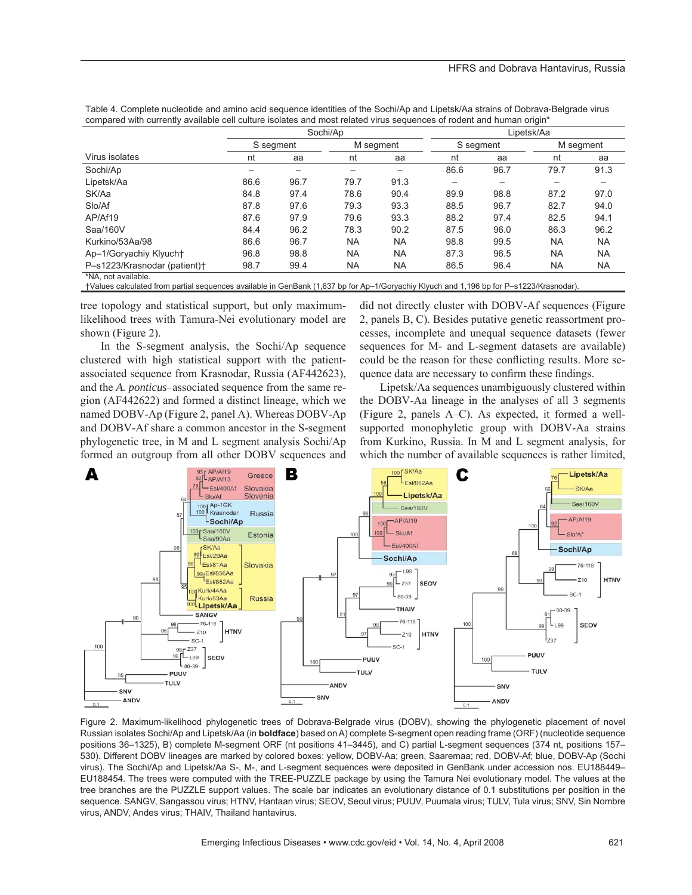| Table 4. Complete nucleotide and amino acid sequence identities of the Sochi/Ap and Lipetsk/Aa strains of Dobrava-Belgrade virus |
|----------------------------------------------------------------------------------------------------------------------------------|
| compared with currently available cell culture isolates and most related virus sequences of rodent and human origin*             |

|                              | Sochi/Ap  |      |           |                          | Lipetsk/Aa |      |           |           |
|------------------------------|-----------|------|-----------|--------------------------|------------|------|-----------|-----------|
|                              | S segment |      | M segment |                          | S segment  |      | M segment |           |
| Virus isolates               | nt        | aa   | nt        | aa                       | nt         | aa   | nt        | aa        |
| Sochi/Ap                     |           |      |           | $\overline{\phantom{0}}$ | 86.6       | 96.7 | 79.7      | 91.3      |
| Lipetsk/Aa                   | 86.6      | 96.7 | 79.7      | 91.3                     |            |      | —         |           |
| SK/Aa                        | 84.8      | 97.4 | 78.6      | 90.4                     | 89.9       | 98.8 | 87.2      | 97.0      |
| Slo/Af                       | 87.8      | 97.6 | 79.3      | 93.3                     | 88.5       | 96.7 | 82.7      | 94.0      |
| AP/AF19                      | 87.6      | 97.9 | 79.6      | 93.3                     | 88.2       | 97.4 | 82.5      | 94.1      |
| Saa/160V                     | 84.4      | 96.2 | 78.3      | 90.2                     | 87.5       | 96.0 | 86.3      | 96.2      |
| Kurkino/53Aa/98              | 86.6      | 96.7 | <b>NA</b> | <b>NA</b>                | 98.8       | 99.5 | <b>NA</b> | <b>NA</b> |
| Ap-1/Goryachiy Klyuch+       | 96.8      | 98.8 | <b>NA</b> | <b>NA</b>                | 87.3       | 96.5 | <b>NA</b> | <b>NA</b> |
| P-s1223/Krasnodar (patient)+ | 98.7      | 99.4 | <b>NA</b> | <b>NA</b>                | 86.5       | 96.4 | <b>NA</b> | <b>NA</b> |
| *NA, not available.          |           |      |           |                          |            |      |           |           |

†Values calculated from partial sequences available in GenBank (1,637 bp for Ap–1/Goryachiy Klyuch and 1,196 bp for P–s1223/Krasnodar).

tree topology and statistical support, but only maximumlikelihood trees with Tamura-Nei evolutionary model are shown (Figure 2).

In the S-segment analysis, the Sochi/Ap sequence clustered with high statistical support with the patientassociated sequence from Krasnodar, Russia (AF442623), and the *A. ponticus*–associated sequence from the same region (AF442622) and formed a distinct lineage, which we named DOBV-Ap (Figure 2, panel A). Whereas DOBV-Ap and DOBV-Af share a common ancestor in the S-segment phylogenetic tree, in M and L segment analysis Sochi/Ap formed an outgroup from all other DOBV sequences and did not directly cluster with DOBV-Af sequences (Figure 2, panels B, C). Besides putative genetic reassortment processes, incomplete and unequal sequence datasets (fewer sequences for M- and L-segment datasets are available) could be the reason for these conflicting results. More sequence data are necessary to confirm these findings.

Lipetsk/Aa sequences unambiguously clustered within the DOBV-Aa lineage in the analyses of all 3 segments (Figure 2, panels A–C). As expected, it formed a wellsupported monophyletic group with DOBV-Aa strains from Kurkino, Russia. In M and L segment analysis, for which the number of available sequences is rather limited,



Figure 2. Maximum-likelihood phylogenetic trees of Dobrava-Belgrade virus (DOBV), showing the phylogenetic placement of novel Russian isolates Sochi/Ap and Lipetsk/Aa (in **boldface**) based on A) complete S-segment open reading frame (ORF) (nucleotide sequence positions 36–1325), B) complete M-segment ORF (nt positions 41–3445), and C) partial L-segment sequences (374 nt, positions 157– 530). Different DOBV lineages are marked by colored boxes: yellow, DOBV-Aa; green, Saaremaa; red, DOBV-Af; blue, DOBV-Ap (Sochi virus). The Sochi/Ap and Lipetsk/Aa S-, M-, and L-segment sequences were deposited in GenBank under accession nos. EU188449– EU188454. The trees were computed with the TREE-PUZZLE package by using the Tamura Nei evolutionary model. The values at the tree branches are the PUZZLE support values. The scale bar indicates an evolutionary distance of 0.1 substitutions per position in the sequence. SANGV, Sangassou virus; HTNV, Hantaan virus; SEOV, Seoul virus; PUUV, Puumala virus; TULV, Tula virus; SNV, Sin Nombre virus, ANDV, Andes virus; THAIV, Thailand hantavirus.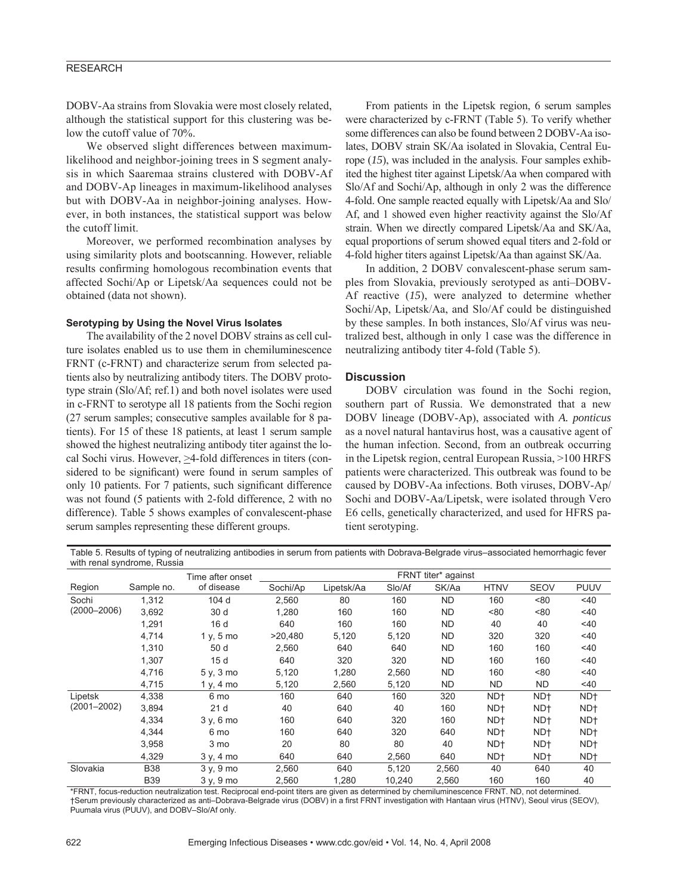DOBV-Aa strains from Slovakia were most closely related, although the statistical support for this clustering was below the cutoff value of 70%.

We observed slight differences between maximumlikelihood and neighbor-joining trees in S segment analysis in which Saaremaa strains clustered with DOBV-Af and DOBV-Ap lineages in maximum-likelihood analyses but with DOBV-Aa in neighbor-joining analyses. However, in both instances, the statistical support was below the cutoff limit.

Moreover, we performed recombination analyses by using similarity plots and bootscanning. However, reliable results confirming homologous recombination events that affected Sochi/Ap or Lipetsk/Aa sequences could not be obtained (data not shown).

#### **Serotyping by Using the Novel Virus Isolates**

The availability of the 2 novel DOBV strains as cell culture isolates enabled us to use them in chemiluminescence FRNT (c-FRNT) and characterize serum from selected patients also by neutralizing antibody titers. The DOBV prototype strain (Slo/Af; ref.1) and both novel isolates were used in c-FRNT to serotype all 18 patients from the Sochi region (27 serum samples; consecutive samples available for 8 patients). For 15 of these 18 patients, at least 1 serum sample showed the highest neutralizing antibody titer against the local Sochi virus. However,  $\geq$ 4-fold differences in titers (considered to be significant) were found in serum samples of only 10 patients. For 7 patients, such significant difference was not found (5 patients with 2-fold difference, 2 with no difference). Table 5 shows examples of convalescent-phase serum samples representing these different groups.

From patients in the Lipetsk region, 6 serum samples were characterized by c-FRNT (Table 5). To verify whether some differences can also be found between 2 DOBV-Aa isolates, DOBV strain SK/Aa isolated in Slovakia, Central Europe (*15*), was included in the analysis. Four samples exhibited the highest titer against Lipetsk/Aa when compared with Slo/Af and Sochi/Ap, although in only 2 was the difference 4-fold. One sample reacted equally with Lipetsk/Aa and Slo/ Af, and 1 showed even higher reactivity against the Slo/Af strain. When we directly compared Lipetsk/Aa and SK/Aa, equal proportions of serum showed equal titers and 2-fold or 4-fold higher titers against Lipetsk/Aa than against SK/Aa.

In addition, 2 DOBV convalescent-phase serum samples from Slovakia, previously serotyped as anti–DOBV-Af reactive (*15*), were analyzed to determine whether Sochi/Ap, Lipetsk/Aa, and Slo/Af could be distinguished by these samples. In both instances, Slo/Af virus was neutralized best, although in only 1 case was the difference in neutralizing antibody titer 4-fold (Table 5).

#### **Discussion**

DOBV circulation was found in the Sochi region, southern part of Russia. We demonstrated that a new DOBV lineage (DOBV-Ap), associated with *A. ponticus* as a novel natural hantavirus host, was a causative agent of the human infection. Second, from an outbreak occurring in the Lipetsk region, central European Russia, >100 HRFS patients were characterized. This outbreak was found to be caused by DOBV-Aa infections. Both viruses, DOBV-Ap/ Sochi and DOBV-Aa/Lipetsk, were isolated through Vero E6 cells, genetically characterized, and used for HFRS patient serotyping.

Table 5. Results of typing of neutralizing antibodies in serum from patients with Dobrava-Belgrade virus–associated hemorrhagic fever with renal syndrome, Russia

|                 |            | Time after onset | FRNT titer* against |            |        |           |                 |                 |                 |
|-----------------|------------|------------------|---------------------|------------|--------|-----------|-----------------|-----------------|-----------------|
| Region          | Sample no. | of disease       | Sochi/Ap            | Lipetsk/Aa | Slo/Af | SK/Aa     | <b>HTNV</b>     | <b>SEOV</b>     | <b>PUUV</b>     |
| Sochi           | 1,312      | 104 d            | 2,560               | 80         | 160    | ND.       | 160             | < 80            | 40<             |
| $(2000 - 2006)$ | 3,692      | 30 d             | 1,280               | 160        | 160    | ND        | < 80            | < 80            | 40              |
|                 | 1,291      | 16 d             | 640                 | 160        | 160    | ND        | 40              | 40              | 40              |
|                 | 4,714      | 1 y. 5 mo        | >20,480             | 5,120      | 5,120  | ND        | 320             | 320             | 40              |
|                 | 1,310      | 50 d             | 2,560               | 640        | 640    | ND        | 160             | 160             | 40              |
|                 | 1,307      | 15d              | 640                 | 320        | 320    | ND        | 160             | 160             | 40              |
|                 | 4,716      | 5 y, 3 mo        | 5,120               | 1,280      | 2,560  | <b>ND</b> | 160             | < 80            | 40              |
|                 | 4,715      | 1 y, 4 mo        | 5,120               | 2,560      | 5,120  | <b>ND</b> | <b>ND</b>       | ND.             | 40              |
| Lipetsk         | 4,338      | 6 mo             | 160                 | 640        | 160    | 320       | ND <sup>+</sup> | ND <sup>+</sup> | ND <sup>+</sup> |
| $(2001 - 2002)$ | 3,894      | 21 <sub>d</sub>  | 40                  | 640        | 40     | 160       | ND <sup>+</sup> | ND <sup>+</sup> | ND <sup>+</sup> |
|                 | 4,334      | 3v, 6mo          | 160                 | 640        | 320    | 160       | ND <sup>+</sup> | ND <sup>+</sup> | ND <sup>+</sup> |
|                 | 4,344      | 6 mo             | 160                 | 640        | 320    | 640       | ND <sup>+</sup> | ND <sup>+</sup> | ND <sup>+</sup> |
|                 | 3,958      | 3 mo             | 20                  | 80         | 80     | 40        | ND <sup>+</sup> | ND <sup>+</sup> | ND <sup>+</sup> |
|                 | 4,329      | $3 y, 4 m$ o     | 640                 | 640        | 2,560  | 640       | ND <sup>+</sup> | ND <sup>+</sup> | ND <sup>+</sup> |
| Slovakia        | <b>B38</b> | 3 y, 9 mo        | 2,560               | 640        | 5,120  | 2,560     | 40              | 640             | 40              |
|                 | <b>B39</b> | 3 y, 9 mo        | 2,560               | 1,280      | 10,240 | 2,560     | 160             | 160             | 40              |

\*FRNT, focus-reduction neutralization test. Reciprocal end-point titers are given as determined by chemiluminescence FRNT. ND, not determined. †Serum previously characterized as anti–Dobrava-Belgrade virus (DOBV) in a first FRNT investigation with Hantaan virus (HTNV), Seoul virus (SEOV), Puumala virus (PUUV), and DOBV–Slo/Af only.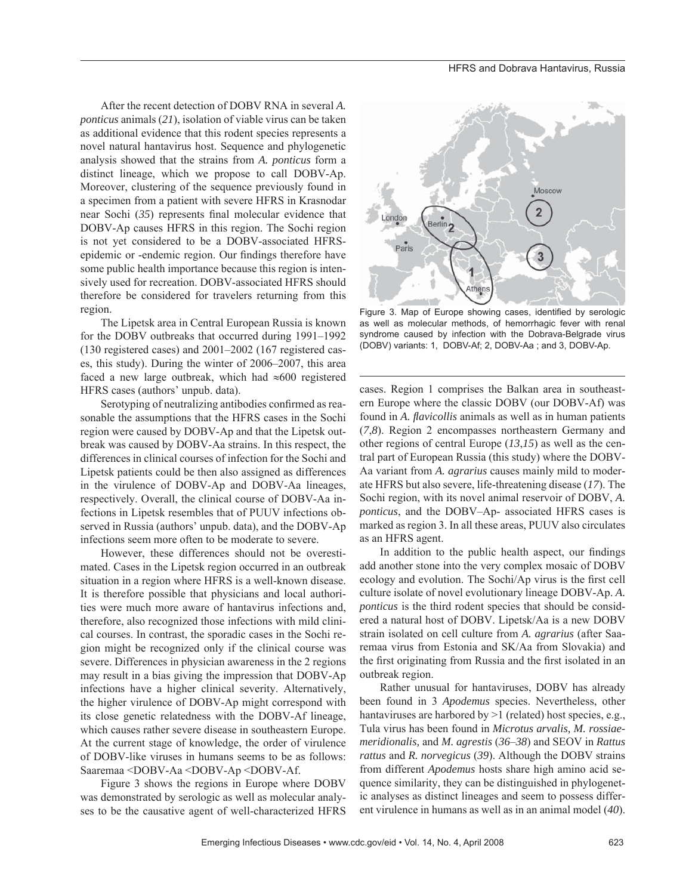After the recent detection of DOBV RNA in several *A. ponticus* animals (*21*), isolation of viable virus can be taken as additional evidence that this rodent species represents a novel natural hantavirus host. Sequence and phylogenetic analysis showed that the strains from *A. ponticus* form a distinct lineage, which we propose to call DOBV-Ap. Moreover, clustering of the sequence previously found in a specimen from a patient with severe HFRS in Krasnodar near Sochi  $(35)$  represents final molecular evidence that DOBV-Ap causes HFRS in this region. The Sochi region is not yet considered to be a DOBV-associated HFRSepidemic or -endemic region. Our findings therefore have some public health importance because this region is intensively used for recreation. DOBV-associated HFRS should therefore be considered for travelers returning from this region.

The Lipetsk area in Central European Russia is known for the DOBV outbreaks that occurred during 1991–1992 (130 registered cases) and 2001–2002 (167 registered cases, this study). During the winter of 2006–2007, this area faced a new large outbreak, which had ≈600 registered HFRS cases (authors' unpub. data).

Serotyping of neutralizing antibodies confirmed as reasonable the assumptions that the HFRS cases in the Sochi region were caused by DOBV-Ap and that the Lipetsk outbreak was caused by DOBV-Aa strains. In this respect, the differences in clinical courses of infection for the Sochi and Lipetsk patients could be then also assigned as differences in the virulence of DOBV-Ap and DOBV-Aa lineages, respectively. Overall, the clinical course of DOBV-Aa infections in Lipetsk resembles that of PUUV infections observed in Russia (authors' unpub. data), and the DOBV-Ap infections seem more often to be moderate to severe.

However, these differences should not be overestimated. Cases in the Lipetsk region occurred in an outbreak situation in a region where HFRS is a well-known disease. It is therefore possible that physicians and local authorities were much more aware of hantavirus infections and, therefore, also recognized those infections with mild clinical courses. In contrast, the sporadic cases in the Sochi region might be recognized only if the clinical course was severe. Differences in physician awareness in the 2 regions may result in a bias giving the impression that DOBV-Ap infections have a higher clinical severity. Alternatively, the higher virulence of DOBV-Ap might correspond with its close genetic relatedness with the DOBV-Af lineage, which causes rather severe disease in southeastern Europe. At the current stage of knowledge, the order of virulence of DOBV-like viruses in humans seems to be as follows: Saaremaa <DOBV-Aa <DOBV-Ap <DOBV-Af.

Figure 3 shows the regions in Europe where DOBV was demonstrated by serologic as well as molecular analyses to be the causative agent of well-characterized HFRS



Figure 3. Map of Europe showing cases, identified by serologic as well as molecular methods, of hemorrhagic fever with renal syndrome caused by infection with the Dobrava-Belgrade virus (DOBV) variants: 1, DOBV-Af; 2, DOBV-Aa ; and 3, DOBV-Ap.

cases. Region 1 comprises the Balkan area in southeastern Europe where the classic DOBV (our DOBV-Af) was found in *A. flavicollis* animals as well as in human patients (*7*,*8*). Region 2 encompasses northeastern Germany and other regions of central Europe (*13*,*15*) as well as the central part of European Russia (this study) where the DOBV-Aa variant from *A. agrarius* causes mainly mild to moderate HFRS but also severe, life-threatening disease (*17*). The Sochi region, with its novel animal reservoir of DOBV, *A. ponticus*, and the DOBV–Ap- associated HFRS cases is marked as region 3. In all these areas, PUUV also circulates as an HFRS agent.

In addition to the public health aspect, our findings add another stone into the very complex mosaic of DOBV ecology and evolution. The Sochi/Ap virus is the first cell culture isolate of novel evolutionary lineage DOBV-Ap. *A. ponticus* is the third rodent species that should be considered a natural host of DOBV. Lipetsk/Aa is a new DOBV strain isolated on cell culture from *A. agrarius* (after Saaremaa virus from Estonia and SK/Aa from Slovakia) and the first originating from Russia and the first isolated in an outbreak region.

Rather unusual for hantaviruses, DOBV has already been found in 3 *Apodemus* species. Nevertheless, other hantaviruses are harbored by >1 (related) host species, e.g., Tula virus has been found in *Microtus arvalis, M. rossiaemeridionalis,* and *M. agrestis* (*36*–*38*) and SEOV in *Rattus rattus* and *R. norvegicus* (*39*). Although the DOBV strains from different *Apodemus* hosts share high amino acid sequence similarity, they can be distinguished in phylogenetic analyses as distinct lineages and seem to possess different virulence in humans as well as in an animal model (*40*).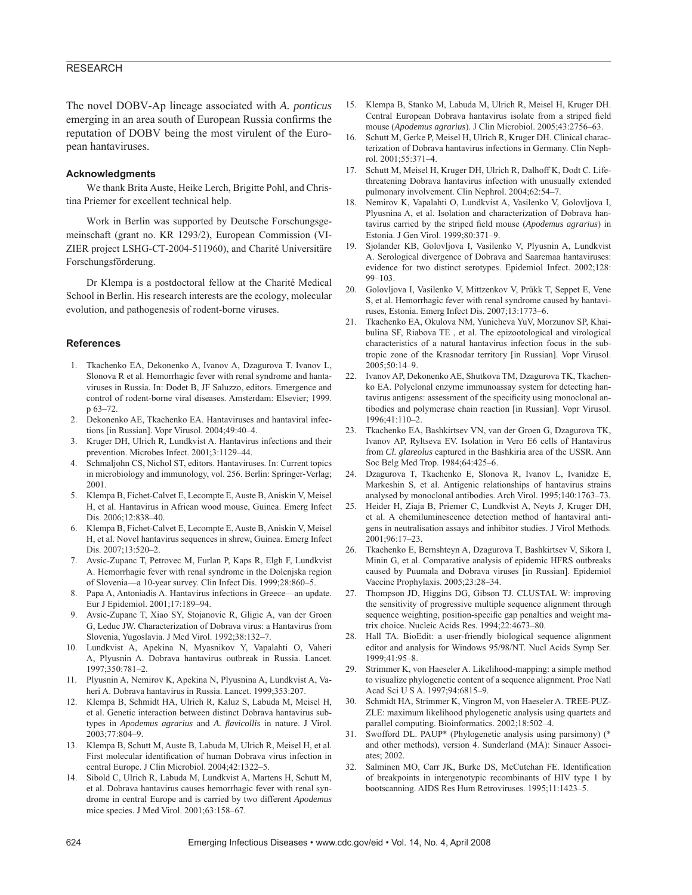The novel DOBV-Ap lineage associated with *A. ponticus* emerging in an area south of European Russia confirms the reputation of DOBV being the most virulent of the European hantaviruses.

#### **Acknowledgments**

We thank Brita Auste, Heike Lerch, Brigitte Pohl, and Christina Priemer for excellent technical help.

Work in Berlin was supported by Deutsche Forschungsgemeinschaft (grant no. KR 1293/2), European Commission (VI-ZIER project LSHG-CT-2004-511960), and Charité Universitäre Forschungsförderung.

Dr Klempa is a postdoctoral fellow at the Charité Medical School in Berlin. His research interests are the ecology, molecular evolution, and pathogenesis of rodent-borne viruses.

#### **References**

- 1. Tkachenko EA, Dekonenko A, Ivanov A, Dzagurova T. Ivanov L, Slonova R et al. Hemorrhagic fever with renal syndrome and hantaviruses in Russia. In: Dodet B, JF Saluzzo, editors. Emergence and control of rodent-borne viral diseases. Amsterdam: Elsevier; 1999. p 63–72.
- 2. Dekonenko AE, Tkachenko EA. Hantaviruses and hantaviral infections [in Russian]. Vopr Virusol. 2004;49:40–4.
- 3. Kruger DH, Ulrich R, Lundkvist A. Hantavirus infections and their prevention. Microbes Infect. 2001;3:1129–44.
- 4. Schmaljohn CS, Nichol ST, editors. Hantaviruses. In: Current topics in microbiology and immunology, vol. 256. Berlin: Springer-Verlag; 2001.
- 5. Klempa B, Fichet-Calvet E, Lecompte E, Auste B, Aniskin V, Meisel H, et al. Hantavirus in African wood mouse, Guinea. Emerg Infect Dis. 2006;12:838–40.
- 6. Klempa B, Fichet-Calvet E, Lecompte E, Auste B, Aniskin V, Meisel H, et al. Novel hantavirus sequences in shrew, Guinea. Emerg Infect Dis. 2007;13:520–2.
- 7. Avsic-Zupanc T, Petrovec M, Furlan P, Kaps R, Elgh F, Lundkvist A. Hemorrhagic fever with renal syndrome in the Dolenjska region of Slovenia—a 10-year survey. Clin Infect Dis. 1999;28:860–5.
- 8. Papa A, Antoniadis A. Hantavirus infections in Greece—an update. Eur J Epidemiol. 2001;17:189–94.
- 9. Avsic-Zupanc T, Xiao SY, Stojanovic R, Gligic A, van der Groen G, Leduc JW. Characterization of Dobrava virus: a Hantavirus from Slovenia, Yugoslavia. J Med Virol. 1992;38:132–7.
- 10. Lundkvist A, Apekina N, Myasnikov Y, Vapalahti O, Vaheri A, Plyusnin A. Dobrava hantavirus outbreak in Russia. Lancet. 1997;350:781–2.
- 11. Plyusnin A, Nemirov K, Apekina N, Plyusnina A, Lundkvist A, Vaheri A. Dobrava hantavirus in Russia. Lancet. 1999;353:207.
- 12. Klempa B, Schmidt HA, Ulrich R, Kaluz S, Labuda M, Meisel H, et al. Genetic interaction between distinct Dobrava hantavirus subtypes in *Apodemus agrarius* and *A. flavicollis* in nature. J Virol. 2003;77:804–9.
- 13. Klempa B, Schutt M, Auste B, Labuda M, Ulrich R, Meisel H, et al. First molecular identification of human Dobrava virus infection in central Europe. J Clin Microbiol. 2004;42:1322–5.
- 14. Sibold C, Ulrich R, Labuda M, Lundkvist A, Martens H, Schutt M, et al. Dobrava hantavirus causes hemorrhagic fever with renal syndrome in central Europe and is carried by two different *Apodemus* mice species. J Med Virol. 2001;63:158–67.
- 15. Klempa B, Stanko M, Labuda M, Ulrich R, Meisel H, Kruger DH. Central European Dobrava hantavirus isolate from a striped field mouse (*Apodemus agrarius*). J Clin Microbiol. 2005;43:2756–63.
- 16. Schutt M, Gerke P, Meisel H, Ulrich R, Kruger DH. Clinical characterization of Dobrava hantavirus infections in Germany. Clin Nephrol. 2001;55:371–4.
- 17. Schutt M, Meisel H, Kruger DH, Ulrich R, Dalhoff K, Dodt C. Lifethreatening Dobrava hantavirus infection with unusually extended pulmonary involvement. Clin Nephrol. 2004;62:54–7.
- 18. Nemirov K, Vapalahti O, Lundkvist A, Vasilenko V, Golovljova I, Plyusnina A, et al. Isolation and characterization of Dobrava hantavirus carried by the striped field mouse (*Apodemus agrarius*) in Estonia. J Gen Virol. 1999;80:371–9.
- 19. Sjolander KB, Golovljova I, Vasilenko V, Plyusnin A, Lundkvist A. Serological divergence of Dobrava and Saaremaa hantaviruses: evidence for two distinct serotypes. Epidemiol Infect. 2002;128: 99–103.
- 20. Golovljova I, Vasilenko V, Mittzenkov V, Prükk T, Seppet E, Vene S, et al. Hemorrhagic fever with renal syndrome caused by hantaviruses, Estonia. Emerg Infect Dis. 2007;13:1773–6.
- 21. Tkachenko EA, Okulova NM, Yunicheva YuV, Morzunov SP, Khaibulina SF, Riabova TE , et al. The epizootological and virological characteristics of a natural hantavirus infection focus in the subtropic zone of the Krasnodar territory [in Russian]. Vopr Virusol. 2005;50:14–9.
- 22. Ivanov AP, Dekonenko AE, Shutkova TM, Dzagurova TK, Tkachenko EA. Polyclonal enzyme immunoassay system for detecting hantavirus antigens: assessment of the specificity using monoclonal antibodies and polymerase chain reaction [in Russian]. Vopr Virusol. 1996;41:110–2.
- 23. Tkachenko EA, Bashkirtsev VN, van der Groen G, Dzagurova TK, Ivanov AP, Ryltseva EV. Isolation in Vero E6 cells of Hantavirus from *Cl. glareolus* captured in the Bashkiria area of the USSR. Ann Soc Belg Med Trop. 1984;64:425–6.
- 24. Dzagurova T, Tkachenko E, Slonova R, Ivanov L, Ivanidze E, Markeshin S, et al. Antigenic relationships of hantavirus strains analysed by monoclonal antibodies. Arch Virol. 1995;140:1763–73.
- 25. Heider H, Ziaja B, Priemer C, Lundkvist A, Neyts J, Kruger DH, et al. A chemiluminescence detection method of hantaviral antigens in neutralisation assays and inhibitor studies. J Virol Methods. 2001;96:17–23.
- 26. Tkachenko E, Bernshteyn A, Dzagurova T, Bashkirtsev V, Sikora I, Minin G, et al. Comparative analysis of epidemic HFRS outbreaks caused by Puumala and Dobrava viruses [in Russian]. Epidemiol Vaccine Prophylaxis. 2005;23:28–34.
- 27. Thompson JD, Higgins DG, Gibson TJ. CLUSTAL W: improving the sensitivity of progressive multiple sequence alignment through sequence weighting, position-specific gap penalties and weight matrix choice. Nucleic Acids Res. 1994;22:4673–80.
- 28. Hall TA. BioEdit: a user-friendly biological sequence alignment editor and analysis for Windows 95/98/NT. Nucl Acids Symp Ser. 1999;41:95–8.
- 29. Strimmer K, von Haeseler A. Likelihood-mapping: a simple method to visualize phylogenetic content of a sequence alignment. Proc Natl Acad Sci U S A. 1997;94:6815–9.
- 30. Schmidt HA, Strimmer K, Vingron M, von Haeseler A. TREE-PUZ-ZLE: maximum likelihood phylogenetic analysis using quartets and parallel computing. Bioinformatics. 2002;18:502–4.
- 31. Swofford DL. PAUP\* (Phylogenetic analysis using parsimony) (\* and other methods), version 4. Sunderland (MA): Sinauer Associates; 2002.
- Salminen MO, Carr JK, Burke DS, McCutchan FE. Identification of breakpoints in intergenotypic recombinants of HIV type 1 by bootscanning. AIDS Res Hum Retroviruses. 1995;11:1423–5.